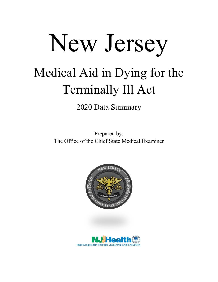## New Jersey Medical Aid in Dying for the Terminally Ill Act

2020 Data Summary

Prepared by: The Office of the Chief State Medical Examiner



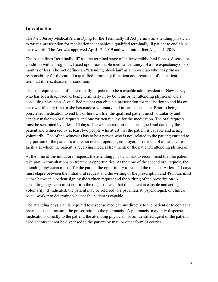## **Introduction**

The New Jersey Medical Aid in Dying for the Terminally Ill Act permits an attending physician to write a prescription for medication that enables a qualified terminally ill patient to end his or her own life. The Act was approved April 12, 2019 and went into effect August 1, 2019.

The Act defines "terminally ill" as "the terminal stage of an irreversibly fatal illness, disease, or condition with a prognosis, based upon reasonable medical certainty, of a life expectancy of six months or less. The Act defines an "attending physician" as a "physician who has primary responsibility for the care of a qualified terminally ill patient and treatment of the patient's terminal illness, disease, or condition."

The Act requires a qualified terminally ill patient to be a capable adult resident of New Jersey who has been diagnosed as being terminally ill by both his or her attending physician and a consulting physician. A qualified patient can obtain a prescription for medication to end his or her own life only if he or she has made a voluntary and informed decision. Prior to being prescribed medication to end his or her own life, the qualified patient must voluntarily and capably make two oral requests and one written request for the medication. The oral requests must be separated by at least 15 days. The written request must be signed and dated by the patient and witnessed by at least two people who attest that the patient is capable and acting voluntarily. One of the witnesses has to be a person who is not: related to the patient; entitled to any portion of the patient's estate; an owner, operator, employer, or resident of a health care facility at which the patient is receiving medical treatment; or the patient's attending physician.

At the time of the initial oral request, the attending physician has to recommend that the patient take part in consultations on treatment opportunities. At the time of the second oral request, the attending physician must offer the patient the opportunity to rescind the request. At least 15 days must elapse between the initial oral request and the writing of the prescription and 48 hours must elapse between a patient signing the written request and the writing of the prescription. A consulting physician must confirm the diagnosis and that the patient is capable and acting voluntarily. If indicated, the patient may be referred to a psychiatrist, psychologist, or clinical social worker to determine whether the patient is capable.

The attending physician is required to dispense medications directly to the patient or to contact a pharmacist and transmit the prescription to the pharmacist. A pharmacist may only dispense medications directly to the patient, the attending physician, or an identified agent of the patient. Medications cannot be dispensed to the patient by mail or other form of courier.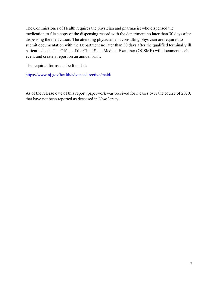The Commissioner of Health requires the physician and pharmacist who dispensed the medication to file a copy of the dispensing record with the department no later than 30 days after dispensing the medication. The attending physician and consulting physician are required to submit documentation with the Department no later than 30 days after the qualified terminally ill patient's death. The Office of the Chief State Medical Examiner (OCSME) will document each event and create a report on an annual basis.

The required forms can be found at:

<https://www.nj.gov/health/advancedirective/maid/>

As of the release date of this report, paperwork was received for 5 cases over the course of 2020, that have not been reported as deceased in New Jersey.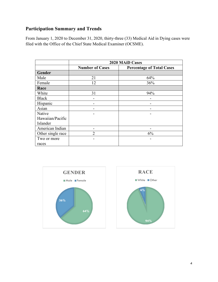## **Participation Summary and Trends**

From January 1, 2020 to December 31, 2020, thirty-three (33) Medical Aid in Dying cases were filed with the Office of the Chief State Medical Examiner (OCSME).

|                   | <b>2020 MAID Cases</b> |                                  |  |
|-------------------|------------------------|----------------------------------|--|
|                   | <b>Number of Cases</b> | <b>Percentage of Total Cases</b> |  |
| Gender            |                        |                                  |  |
| Male              | 21                     | 64%                              |  |
| Female            | 12                     | 36%                              |  |
| Race              |                        |                                  |  |
| White             | 31                     | 94%                              |  |
| <b>Black</b>      |                        |                                  |  |
| Hispanic          |                        |                                  |  |
| Asian             |                        |                                  |  |
| Native            |                        |                                  |  |
| Hawaiian/Pacific  |                        |                                  |  |
| Islander          |                        |                                  |  |
| American Indian   |                        |                                  |  |
| Other single race | 2                      | 6%                               |  |
| Two or more       |                        |                                  |  |
| races             |                        |                                  |  |



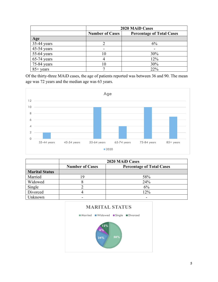|               | <b>2020 MAID Cases</b> |                                  |  |
|---------------|------------------------|----------------------------------|--|
|               | <b>Number of Cases</b> | <b>Percentage of Total Cases</b> |  |
| Age           |                        |                                  |  |
| $35-44$ years |                        | 6%                               |  |
| $45-54$ years |                        |                                  |  |
| $55-64$ years |                        | 30%                              |  |
| $65-74$ years |                        | 12%                              |  |
| $75-84$ years | 10                     | 30%                              |  |
| $85+$ years   |                        | 22%                              |  |

Of the thirty-three MAiD cases, the age of patients reported was between 36 and 90. The mean age was 72 years and the median age was 63 years.



|                       | <b>2020 MAID Cases</b> |                                  |  |
|-----------------------|------------------------|----------------------------------|--|
|                       | <b>Number of Cases</b> | <b>Percentage of Total Cases</b> |  |
| <b>Marital Status</b> |                        |                                  |  |
| Married               | q                      | 58%                              |  |
| Widowed               |                        | 24%                              |  |
| Single                |                        | 6%                               |  |
| Divorced              |                        | 12%                              |  |
| Jnknown               |                        |                                  |  |

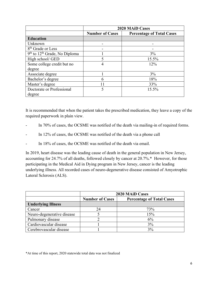|                                   | <b>2020 MAID Cases</b> |                                  |  |
|-----------------------------------|------------------------|----------------------------------|--|
|                                   | <b>Number of Cases</b> | <b>Percentage of Total Cases</b> |  |
| <b>Education</b>                  |                        |                                  |  |
| Unknown                           |                        |                                  |  |
| 8 <sup>th</sup> Grade or Less     |                        |                                  |  |
| $9th$ to $12th$ Grade, No Diploma |                        | 3%                               |  |
| High school/ GED                  | 5                      | 15.5%                            |  |
| Some college credit but no        | 4                      | 12%                              |  |
| degree                            |                        |                                  |  |
| Associate degree                  |                        | 3%                               |  |
| Bachelor's degree                 | 6                      | 18%                              |  |
| Master's degree                   | 11                     | 33%                              |  |
| Doctorate or Professional         | 5                      | 15.5%                            |  |
| degree                            |                        |                                  |  |

It is recommended that when the patient takes the prescribed medication, they leave a copy of the required paperwork in plain view.

- In 70% of cases, the OCSME was notified of the death via mailing-in of required forms.
- In 12% of cases, the OCSME was notified of the death via a phone call
- In 18% of cases, the OCSME was notified of the death via email.

In 2019, heart disease was the leading cause of death in the general population in New Jersey, accounting for 24.7% of all deaths, followed closely by cancer at 20.7%.\* However, for those participating in the Medical Aid in Dying program in New Jersey, cancer is the leading underlying illness. All recorded cases of neuro-degenerative disease consisted of Amyotrophic Lateral Sclerosis (ALS).

|                            | <b>2020 MAID Cases</b> |                                  |  |
|----------------------------|------------------------|----------------------------------|--|
|                            | <b>Number of Cases</b> | <b>Percentage of Total Cases</b> |  |
| <b>Underlying Illness</b>  |                        |                                  |  |
| Cancer                     | 24                     | 73%                              |  |
| Neuro-degenerative disease |                        | 15%                              |  |
| Pulmonary disease          |                        | 6%                               |  |
| Cardiovascular disease     |                        | 3%                               |  |
| Cerebrovascular disease    |                        | 3%                               |  |

\*At time of this report, 2020 statewide total data was not finalized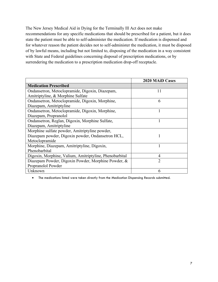The New Jersey Medical Aid in Dying for the Terminally Ill Act does not make recommendations for any specific medications that should be prescribed for a patient, but it does state the patient must be able to self-administer the medication. If medication is dispensed and for whatever reason the patient decides not to self-administer the medication, it must be disposed of by lawful means, including but not limited to, disposing of the medication in a way consistent with State and Federal guidelines concerning disposal of prescription medications, or by surrendering the medication to a prescription medication drop-off receptacle.

|                                                         | <b>2020 MAID Cases</b> |
|---------------------------------------------------------|------------------------|
| <b>Medication Prescribed</b>                            |                        |
| Ondansetron, Metoclopramide, Digoxin, Diazepam,         | 11                     |
| Amitriptyline, & Morphine Sulfate                       |                        |
| Ondansetron, Metoclopramide, Digoxin, Morphine,         | 6                      |
| Diazepam, Amitriptyline                                 |                        |
| Ondansetron, Metoclopramide, Digoxin, Morphine,         |                        |
| Diazepam, Propranolol                                   |                        |
| Ondansetron, Reglan, Digoxin, Morphine Sulfate,         |                        |
| Diazepam, Amitriptyline                                 |                        |
| Morphine sulfate powder, Amitriptyline powder,          |                        |
| Diazepam powder, Digoxin powder, Ondansetron HCL,       |                        |
| Metoclopramide                                          |                        |
| Morphine, Diazepam, Amitriptyline, Digoxin,             |                        |
| Phenobarbital                                           |                        |
| Digoxin, Morphine, Valium, Amitriptyline, Phenobarbital | 4                      |
| Diazepam Powder, Digoxin Powder, Morphine Powder, &     | $\overline{2}$         |
| Propranolol Powder                                      |                        |
| Unknown                                                 | 6                      |

• The medications listed were taken directly from the Medication Dispensing Records submitted.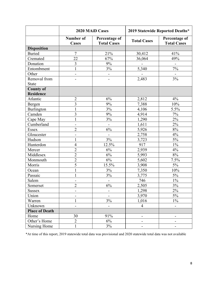|                       | <b>2020 MAID Cases</b>           |                                     | 2019 Statewide Reported Deaths* |                                     |
|-----------------------|----------------------------------|-------------------------------------|---------------------------------|-------------------------------------|
|                       | <b>Number of</b><br><b>Cases</b> | Percentage of<br><b>Total Cases</b> | <b>Total Cases</b>              | Percentage of<br><b>Total Cases</b> |
| <b>Disposition</b>    |                                  |                                     |                                 |                                     |
| <b>Buried</b>         | $\overline{7}$                   | 21%                                 | 30,412                          | 41%                                 |
| Cremated              | 22                               | 67%                                 | 36,064                          | 49%                                 |
| Donation              | 3                                | 9%                                  | $\overline{a}$                  | $\overline{\phantom{0}}$            |
| Entombment            | $\mathbf{1}$                     | 3%                                  | 5,340                           | $7\%$                               |
| Other                 | $\overline{\phantom{0}}$         | -                                   |                                 |                                     |
| Removal from          |                                  | ۳                                   | 2,483                           | 3%                                  |
| <b>State</b>          |                                  |                                     |                                 |                                     |
| <b>County of</b>      |                                  |                                     |                                 |                                     |
| <b>Residence</b>      |                                  |                                     |                                 |                                     |
| Atlantic              | $\overline{2}$                   | 6%                                  | 2,812                           | 4%                                  |
| Bergen                | $\overline{3}$                   | 9%                                  | 7,388                           | $10\%$                              |
| Burlington            | $\mathbf{1}$                     | 3%                                  | 4,106                           | 5.5%                                |
| Camden                | 3                                | 9%                                  | 4,914                           | 7%                                  |
| Cape May              | $\mathbf{1}$                     | $3\%$                               | 1,290                           | 2%                                  |
| Cumberland            | $\overline{\phantom{0}}$         | $\overline{\phantom{0}}$            | 1,611                           | 2%                                  |
| Essex                 | $\overline{2}$                   | 6%                                  | 5,926                           | 8%                                  |
| Gloucester            | -                                |                                     | 2,758                           | 4%                                  |
| Hudson                | 1                                | 3%                                  | 3,723                           | $5\%$                               |
| Hunterdon             | $\overline{4}$                   | 12.5%                               | 917                             | $1\%$                               |
| Mercer                | $\overline{2}$                   | 6%                                  | 2,939                           | 4%                                  |
| Middlesex             | $\overline{2}$                   | 6%                                  | 5,993                           | $8\%$                               |
| Monmouth              | $\overline{2}$                   | 6%                                  | 5,602                           | 7.5%                                |
| Morris                | 5                                | 15.5%                               | 3,908                           | 5%                                  |
| Ocean                 | $\mathbf{1}$                     | $3\%$                               | 7,350                           | 10%                                 |
| Passaic               | $\mathbf{1}$                     | 3%                                  | 3,775                           | 5%                                  |
| Salem                 | $\overline{\phantom{0}}$         | $\overline{\phantom{0}}$            | 746                             | $1\%$                               |
| Somerset              | $\overline{c}$                   | $6\%$                               | 2,505                           | $3\%$                               |
| <b>Sussex</b>         | $\qquad \qquad \blacksquare$     | $\overline{\phantom{a}}$            | 1,298                           | 2%                                  |
| Union                 | -                                | -                                   | 3,970                           | 5%                                  |
| Warren                | $\mathbf{1}$                     | 3%                                  | 1,016                           | $1\%$                               |
| Unknown               | $\overline{\phantom{0}}$         | $\overline{\phantom{0}}$            | $\overline{4}$                  | $\overline{\phantom{0}}$            |
| <b>Place of Death</b> |                                  |                                     |                                 |                                     |
| Home                  | 30                               | 91%                                 | -                               | -                                   |
| Other's Home          | $\overline{2}$                   | 6%                                  | $\overline{\phantom{a}}$        | $\overline{\phantom{a}}$            |
| Nursing Home          | $\mathbf{1}$                     | 3%                                  | $\overline{\phantom{0}}$        |                                     |

\*At time of this report, 2019 statewide total data was provisional and 2020 statewide total data was not available